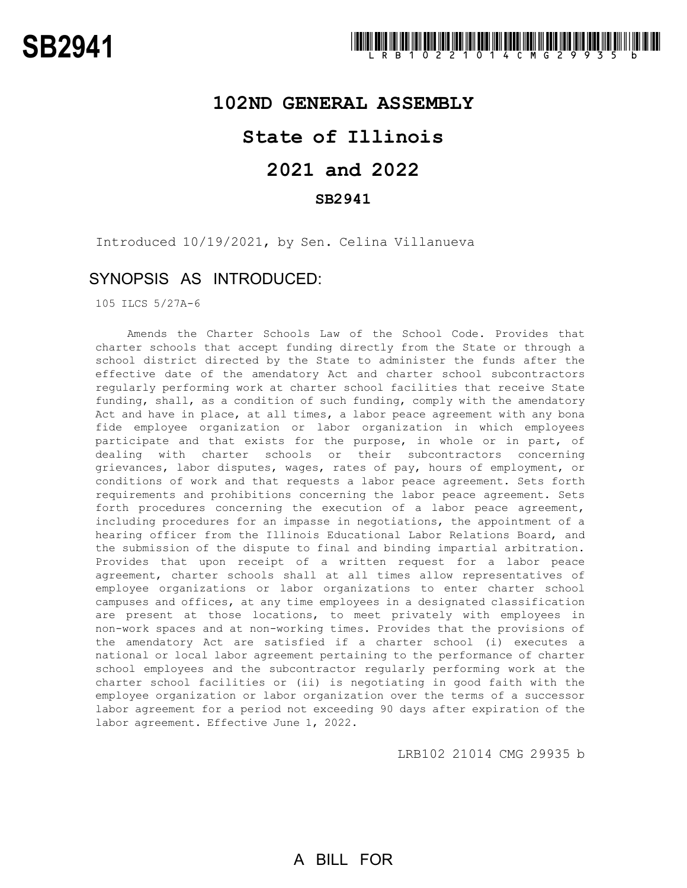### **102ND GENERAL ASSEMBLY**

## **State of Illinois**

# **2021 and 2022**

### **SB2941**

Introduced 10/19/2021, by Sen. Celina Villanueva

### SYNOPSIS AS INTRODUCED:

105 ILCS 5/27A-6

Amends the Charter Schools Law of the School Code. Provides that charter schools that accept funding directly from the State or through a school district directed by the State to administer the funds after the effective date of the amendatory Act and charter school subcontractors regularly performing work at charter school facilities that receive State funding, shall, as a condition of such funding, comply with the amendatory Act and have in place, at all times, a labor peace agreement with any bona fide employee organization or labor organization in which employees participate and that exists for the purpose, in whole or in part, of dealing with charter schools or their subcontractors concerning grievances, labor disputes, wages, rates of pay, hours of employment, or conditions of work and that requests a labor peace agreement. Sets forth requirements and prohibitions concerning the labor peace agreement. Sets forth procedures concerning the execution of a labor peace agreement, including procedures for an impasse in negotiations, the appointment of a hearing officer from the Illinois Educational Labor Relations Board, and the submission of the dispute to final and binding impartial arbitration. Provides that upon receipt of a written request for a labor peace agreement, charter schools shall at all times allow representatives of employee organizations or labor organizations to enter charter school campuses and offices, at any time employees in a designated classification are present at those locations, to meet privately with employees in non-work spaces and at non-working times. Provides that the provisions of the amendatory Act are satisfied if a charter school (i) executes a national or local labor agreement pertaining to the performance of charter school employees and the subcontractor regularly performing work at the charter school facilities or (ii) is negotiating in good faith with the employee organization or labor organization over the terms of a successor labor agreement for a period not exceeding 90 days after expiration of the labor agreement. Effective June 1, 2022.

LRB102 21014 CMG 29935 b

# A BILL FOR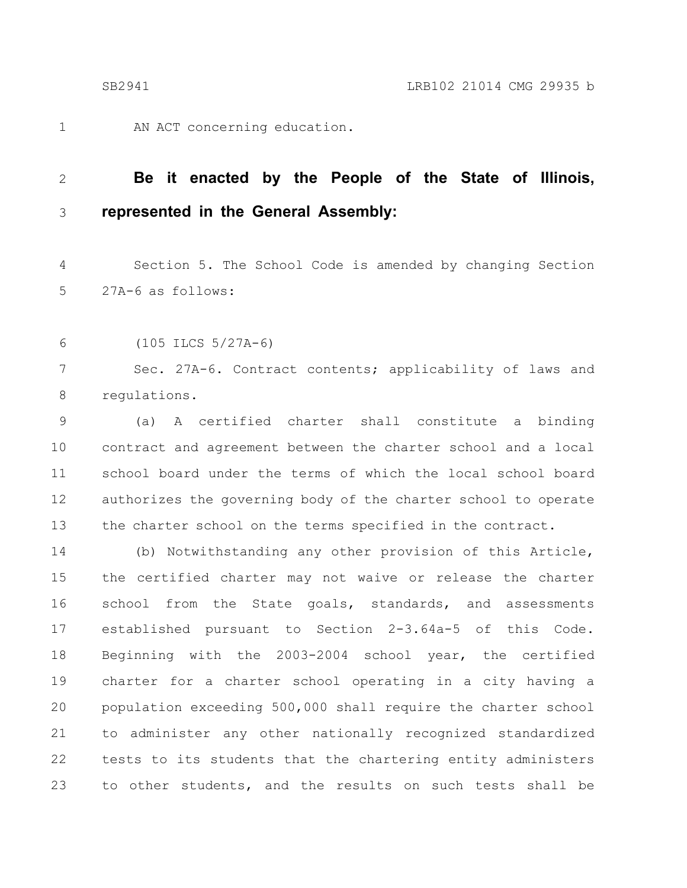1

AN ACT concerning education.

#### **Be it enacted by the People of the State of Illinois, represented in the General Assembly:** 2 3

Section 5. The School Code is amended by changing Section 27A-6 as follows: 4 5

(105 ILCS 5/27A-6) 6

Sec. 27A-6. Contract contents; applicability of laws and regulations. 7 8

(a) A certified charter shall constitute a binding contract and agreement between the charter school and a local school board under the terms of which the local school board authorizes the governing body of the charter school to operate the charter school on the terms specified in the contract. 9 10 11 12 13

(b) Notwithstanding any other provision of this Article, the certified charter may not waive or release the charter school from the State goals, standards, and assessments established pursuant to Section 2-3.64a-5 of this Code. Beginning with the 2003-2004 school year, the certified charter for a charter school operating in a city having a population exceeding 500,000 shall require the charter school to administer any other nationally recognized standardized tests to its students that the chartering entity administers to other students, and the results on such tests shall be 14 15 16 17 18 19 20 21 22 23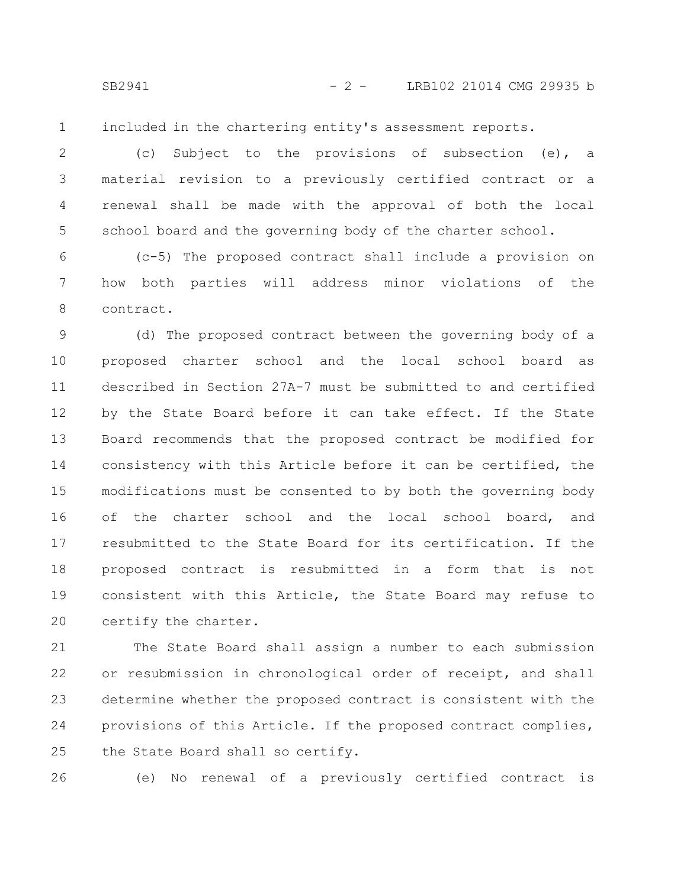SB2941 - 2 - LRB102 21014 CMG 29935 b

included in the chartering entity's assessment reports. 1

(c) Subject to the provisions of subsection (e), a material revision to a previously certified contract or a renewal shall be made with the approval of both the local school board and the governing body of the charter school. 2 3 4 5

(c-5) The proposed contract shall include a provision on how both parties will address minor violations of the contract. 6 7 8

(d) The proposed contract between the governing body of a proposed charter school and the local school board as described in Section 27A-7 must be submitted to and certified by the State Board before it can take effect. If the State Board recommends that the proposed contract be modified for consistency with this Article before it can be certified, the modifications must be consented to by both the governing body of the charter school and the local school board, and resubmitted to the State Board for its certification. If the proposed contract is resubmitted in a form that is not consistent with this Article, the State Board may refuse to certify the charter. 9 10 11 12 13 14 15 16 17 18 19 20

The State Board shall assign a number to each submission or resubmission in chronological order of receipt, and shall determine whether the proposed contract is consistent with the provisions of this Article. If the proposed contract complies, the State Board shall so certify. 21 22 23 24 25

26

(e) No renewal of a previously certified contract is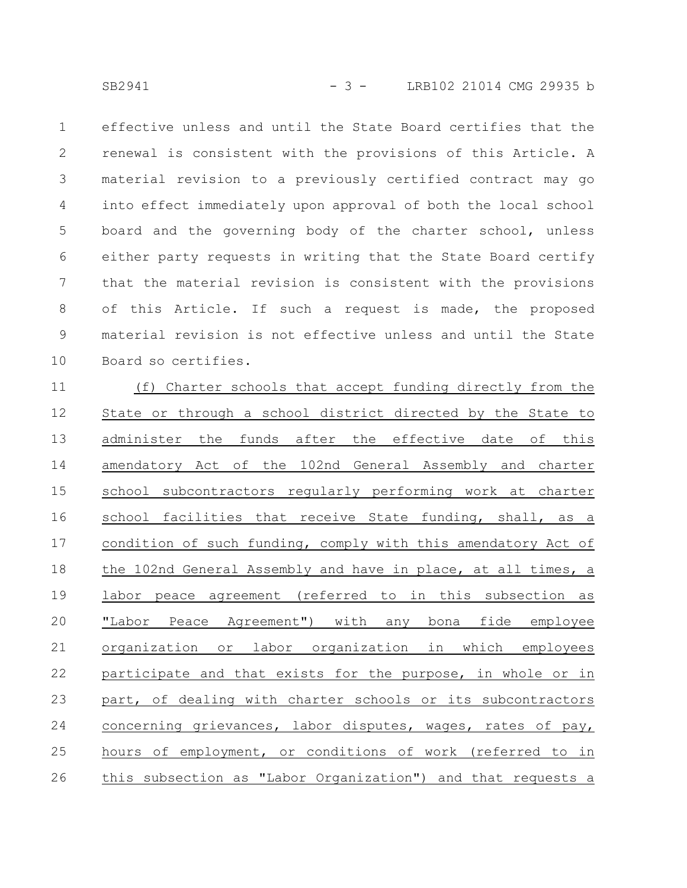effective unless and until the State Board certifies that the renewal is consistent with the provisions of this Article. A material revision to a previously certified contract may go into effect immediately upon approval of both the local school board and the governing body of the charter school, unless either party requests in writing that the State Board certify that the material revision is consistent with the provisions of this Article. If such a request is made, the proposed material revision is not effective unless and until the State Board so certifies. 1 2 3 4 5 6 7 8 9 10

(f) Charter schools that accept funding directly from the State or through a school district directed by the State to administer the funds after the effective date of this amendatory Act of the 102nd General Assembly and charter school subcontractors reqularly performing work at charter school facilities that receive State funding, shall, as a condition of such funding, comply with this amendatory Act of the 102nd General Assembly and have in place, at all times, a labor peace agreement (referred to in this subsection as "Labor Peace Agreement") with any bona fide employee organization or labor organization in which employees participate and that exists for the purpose, in whole or in part, of dealing with charter schools or its subcontractors concerning grievances, labor disputes, wages, rates of pay, hours of employment, or conditions of work (referred to in this subsection as "Labor Organization") and that requests a 11 12 13 14 15 16 17 18 19 20 21 22 23 24 25 26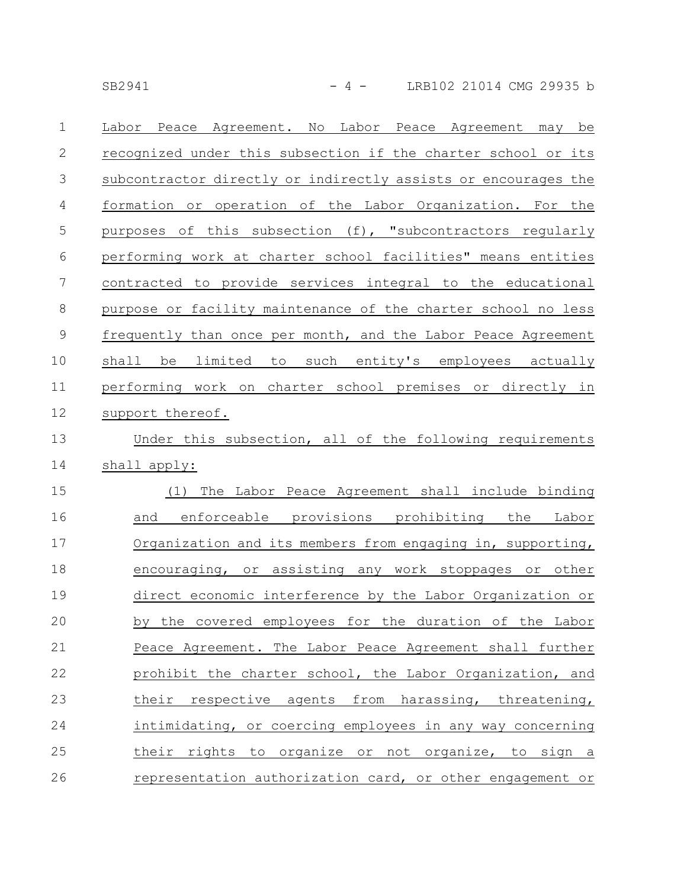SB2941 - 4 - LRB102 21014 CMG 29935 b

| $\mathbf{1}$   | Peace Agreement. No Labor Peace Agreement may be<br>Labor      |
|----------------|----------------------------------------------------------------|
| $\mathbf{2}$   | recognized under this subsection if the charter school or its  |
| $\mathcal{S}$  | subcontractor directly or indirectly assists or encourages the |
| $\overline{4}$ | formation or operation of the Labor Organization. For the      |
| $\mathsf S$    | purposes of this subsection (f), "subcontractors regularly     |
| 6              | performing work at charter school facilities" means entities   |
| $\overline{7}$ | contracted to provide services integral to the educational     |
| 8              | purpose or facility maintenance of the charter school no less  |
| $\mathsf 9$    | frequently than once per month, and the Labor Peace Agreement  |
| 10             | limited to such entity's employees actually<br>shall<br>be     |
| 11             | performing work on charter school premises or directly in      |
| 12             | support thereof.                                               |
| 13             | Under this subsection, all of the following requirements       |
| 14             | shall apply:                                                   |
| 15             | (1) The Labor Peace Agreement shall include binding            |
| 16             | enforceable provisions prohibiting the Labor<br>and            |
| 17             | Organization and its members from engaging in, supporting,     |
| 18             | encouraging, or assisting any work stoppages or other          |
| 19             | direct economic interference by the Labor Organization or      |
| 20             | by the covered employees for the duration of the Labor         |
| 21             | Peace Agreement. The Labor Peace Agreement shall further       |
| 22             | prohibit the charter school, the Labor Organization, and       |
| 23             | their respective agents from harassing, threatening,           |
| 24             | intimidating, or coercing employees in any way concerning      |
| 25             | their rights to organize or not organize, to sign a            |
| 26             | representation authorization card, or other engagement or      |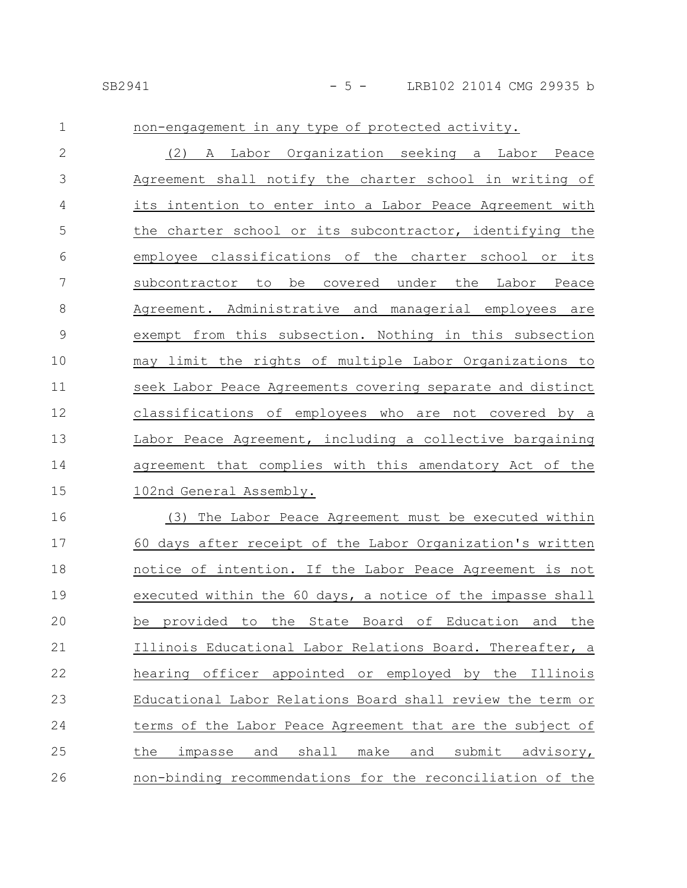| $\mathbf 1$  | non-engagement in any type of protected activity.                    |
|--------------|----------------------------------------------------------------------|
| $\mathbf{2}$ | A Labor Organization seeking a Labor Peace<br>(2)                    |
| 3            | Agreement shall notify the charter school in writing of              |
| 4            | its intention to enter into a Labor Peace Agreement with             |
| 5            | the charter school or its subcontractor, identifying the             |
| 6            | employee classifications of the charter school or its                |
| 7            | subcontractor to be covered under the Labor Peace                    |
| $8\,$        | Agreement. Administrative and managerial employees are               |
| $\mathsf 9$  | exempt from this subsection. Nothing in this subsection              |
| 10           | may limit the rights of multiple Labor Organizations to              |
| 11           | seek Labor Peace Agreements covering separate and distinct           |
| 12           | classifications of employees who are not covered by a                |
| 13           | Labor Peace Agreement, including a collective bargaining             |
| 14           | agreement that complies with this amendatory Act of the              |
| 15           | 102nd General Assembly.                                              |
| 16           | (3) The Labor Peace Agreement must be executed within                |
| 17           | 60 days after receipt of the Labor Organization's written            |
| 18           | notice of intention. If the Labor Peace Agreement is not             |
| 19           | executed within the 60 days, a notice of the impasse shall           |
| 20           | be provided to the State Board of Education and the                  |
| 21           | Illinois Educational Labor Relations Board. Thereafter, a            |
| 22           | hearing officer appointed or employed by the Illinois                |
| 23           | Educational Labor Relations Board shall review the term or           |
| 24           | terms of the Labor Peace Agreement that are the subject of           |
| 25           | shall<br>make<br>submit<br>advisory,<br>the<br>impasse<br>and<br>and |
| 26           | non-binding recommendations for the reconciliation of the            |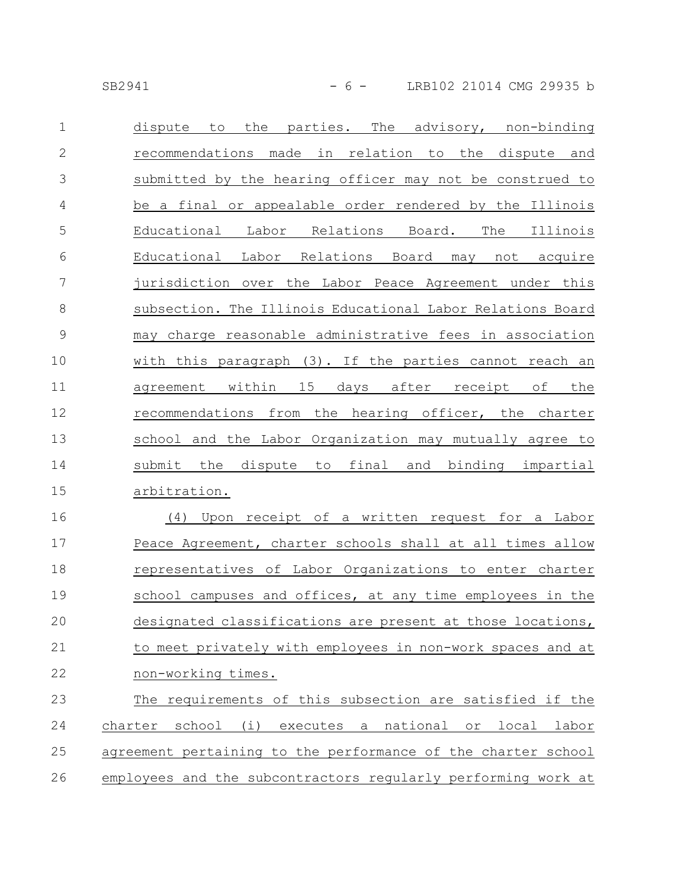SB2941 - 6 - LRB102 21014 CMG 29935 b

| $\mathbf 1$    | the parties. The advisory, non-binding<br>dispute<br>to              |
|----------------|----------------------------------------------------------------------|
| $\mathbf{2}$   | recommendations made in relation to the dispute and                  |
| 3              | submitted by the hearing officer may not be construed to             |
| 4              | be a final or appealable order rendered by the Illinois              |
| 5              | Educational Labor Relations Board. The<br>Illinois                   |
| 6              | Educational Labor Relations Board may not acquire                    |
| $\overline{7}$ | jurisdiction over the Labor Peace Agreement under this               |
| $\,8\,$        | subsection. The Illinois Educational Labor Relations Board           |
| $\mathsf 9$    | may charge reasonable administrative fees in association             |
| 10             | with this paragraph (3). If the parties cannot reach an              |
| 11             | agreement within 15 days after receipt of the                        |
| 12             | recommendations from the hearing officer, the charter                |
| 13             | school and the Labor Organization may mutually agree to              |
| 14             | final<br>and binding impartial<br>submit<br>the<br>dispute to        |
| 15             | arbitration.                                                         |
| 16             | Upon receipt of a written request for a Labor<br>(4)                 |
| 17             | Peace Agreement, charter schools shall at all times allow            |
| 18             | representatives of Labor Organizations to enter charter              |
| 19             | school campuses and offices, at any time employees in the            |
| 20             | designated classifications are present at those locations,           |
| 21             | to meet privately with employees in non-work spaces and at           |
| 22             | non-working times.                                                   |
| 23             | The requirements of this subsection are satisfied if the             |
| 24             | school (i)<br>executes a<br>national<br>local labor<br>charter<br>or |
|                |                                                                      |

agreement pertaining to the performance of the charter school 25

employees and the subcontractors regularly performing work at 26